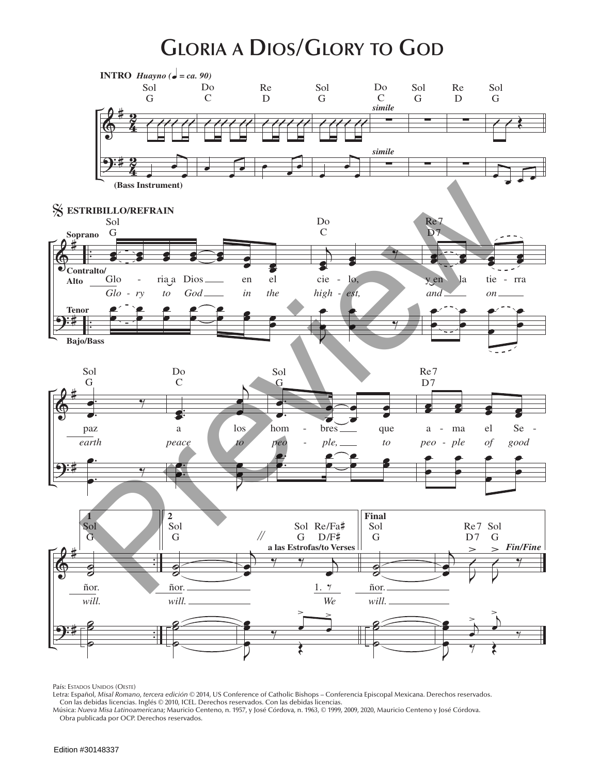## **Gloria a Dios/Glory to God**



País: Estados Unidos (Oeste)

Letra: Español, *Misal Romano, tercera edición* © 2014, US Conference of Catholic Bishops – Conferencia Episcopal Mexicana. Derechos reservados.

Con las debidas licencias. Inglés © 2010, ICEL. Derechos reservados. Con las debidas licencias.<br>Música: *Nueva Misa Latinoamericana;* Mauricio Centeno, n. 1957, y José Córdova, n. 1963, © 1999, 2009, 2020, Mauricio Centen Obra publicada por OCP. Derechos reservados.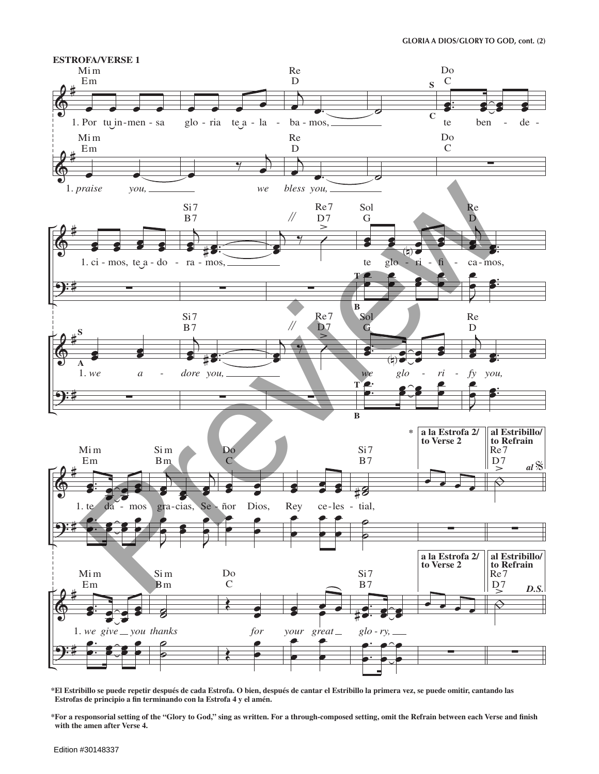

\*El Estribillo se puede repetir después de cada Estrofa. O bien, después de cantar el Estribillo la primera vez, se puede omitir, cantando las Estrofas de principio a fin terminando con la Estrofa 4 y el amén.

\*For a responsorial setting of the "Glory to God," sing as written. For a through-composed setting, omit the Refrain between each Verse and finish with the amen after Verse 4.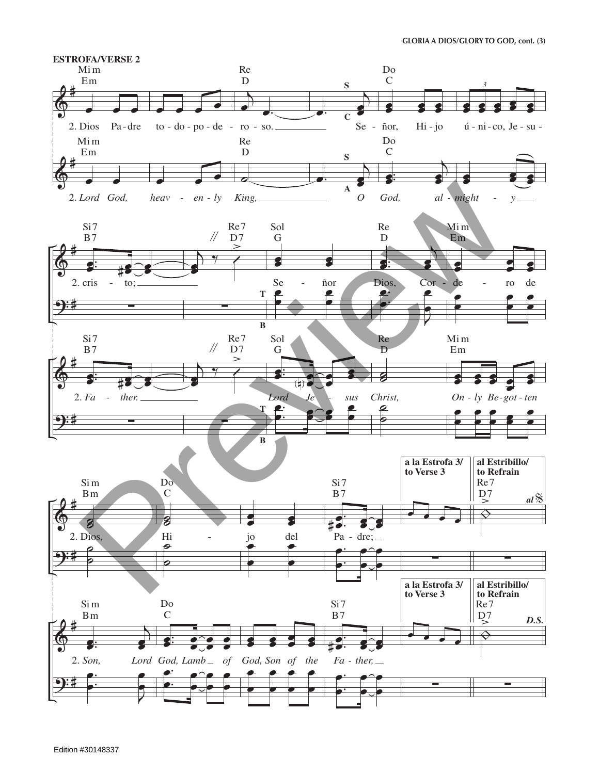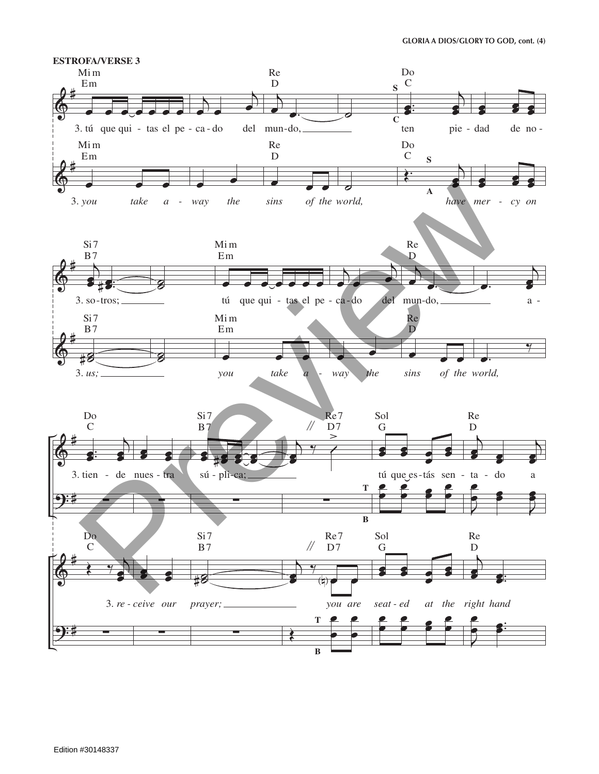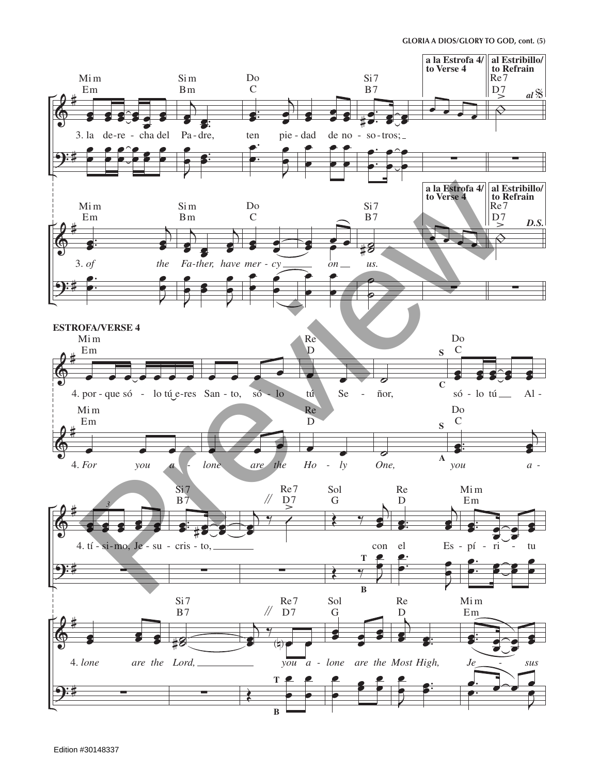